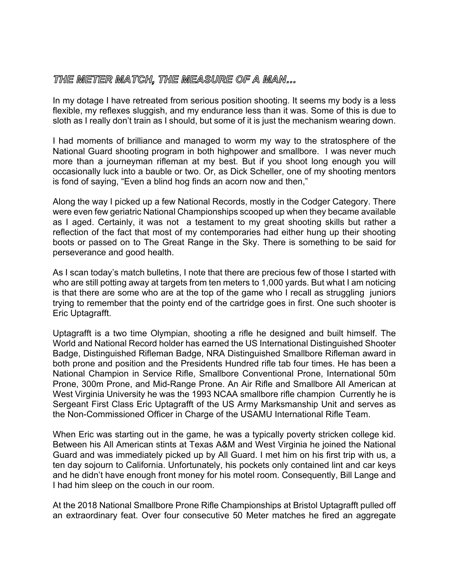## THE METER MATCH, THE MEASURE OF A MAN...

In my dotage I have retreated from serious position shooting. It seems my body is a less flexible, my reflexes sluggish, and my endurance less than it was. Some of this is due to sloth as I really don't train as I should, but some of it is just the mechanism wearing down.

I had moments of brilliance and managed to worm my way to the stratosphere of the National Guard shooting program in both highpower and smallbore. I was never much more than a journeyman rifleman at my best. But if you shoot long enough you will occasionally luck into a bauble or two. Or, as Dick Scheller, one of my shooting mentors is fond of saying, "Even a blind hog finds an acorn now and then,"

Along the way I picked up a few National Records, mostly in the Codger Category. There were even few geriatric National Championships scooped up when they became available as I aged. Certainly, it was not a testament to my great shooting skills but rather a reflection of the fact that most of my contemporaries had either hung up their shooting boots or passed on to The Great Range in the Sky. There is something to be said for perseverance and good health.

As I scan today's match bulletins, I note that there are precious few of those I started with who are still potting away at targets from ten meters to 1,000 yards. But what I am noticing is that there are some who are at the top of the game who I recall as struggling juniors trying to remember that the pointy end of the cartridge goes in first. One such shooter is Eric Uptagrafft.

Uptagrafft is a two time Olympian, shooting a rifle he designed and built himself. The World and National Record holder has earned the US International Distinguished Shooter Badge, Distinguished Rifleman Badge, NRA Distinguished Smallbore Rifleman award in both prone and position and the Presidents Hundred rifle tab four times. He has been a National Champion in Service Rifle, Smallbore Conventional Prone, International 50m Prone, 300m Prone, and Mid-Range Prone. An Air Rifle and Smallbore All American at West Virginia University he was the 1993 NCAA smallbore rifle champion Currently he is Sergeant First Class Eric Uptagrafft of the US Army Marksmanship Unit and serves as the Non-Commissioned Officer in Charge of the USAMU International Rifle Team.

When Eric was starting out in the game, he was a typically poverty stricken college kid. Between his All American stints at Texas A&M and West Virginia he joined the National Guard and was immediately picked up by All Guard. I met him on his first trip with us, a ten day sojourn to California. Unfortunately, his pockets only contained lint and car keys and he didn't have enough front money for his motel room. Consequently, Bill Lange and I had him sleep on the couch in our room.

At the 2018 National Smallbore Prone Rifle Championships at Bristol Uptagrafft pulled off an extraordinary feat. Over four consecutive 50 Meter matches he fired an aggregate